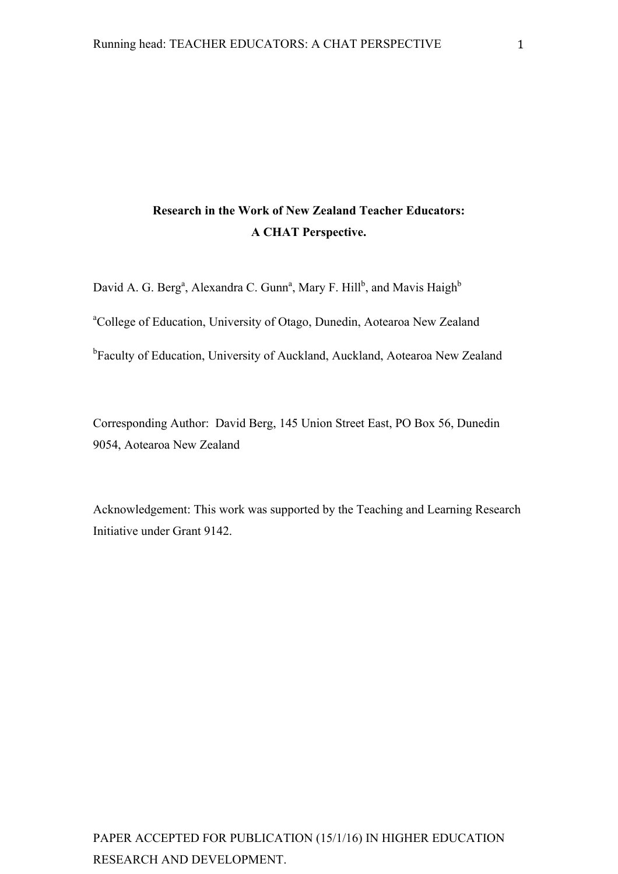## **Research in the Work of New Zealand Teacher Educators: A CHAT Perspective.**

David A. G. Berg<sup>a</sup>, Alexandra C. Gunn<sup>a</sup>, Mary F. Hill<sup>b</sup>, and Mavis Haigh<sup>b</sup>

<sup>a</sup>College of Education, University of Otago, Dunedin, Aotearoa New Zealand

<sup>b</sup>Faculty of Education, University of Auckland, Auckland, Aotearoa New Zealand

Corresponding Author: David Berg, 145 Union Street East, PO Box 56, Dunedin 9054, Aotearoa New Zealand

Acknowledgement: This work was supported by the Teaching and Learning Research Initiative under Grant 9142.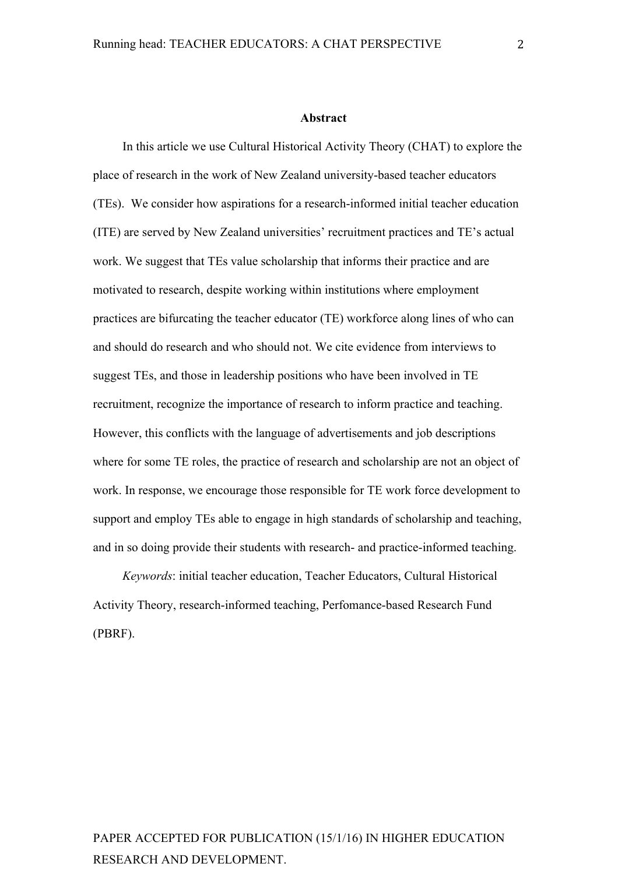#### **Abstract**

In this article we use Cultural Historical Activity Theory (CHAT) to explore the place of research in the work of New Zealand university-based teacher educators (TEs). We consider how aspirations for a research-informed initial teacher education (ITE) are served by New Zealand universities' recruitment practices and TE's actual work. We suggest that TEs value scholarship that informs their practice and are motivated to research, despite working within institutions where employment practices are bifurcating the teacher educator (TE) workforce along lines of who can and should do research and who should not. We cite evidence from interviews to suggest TEs, and those in leadership positions who have been involved in TE recruitment, recognize the importance of research to inform practice and teaching. However, this conflicts with the language of advertisements and job descriptions where for some TE roles, the practice of research and scholarship are not an object of work. In response, we encourage those responsible for TE work force development to support and employ TEs able to engage in high standards of scholarship and teaching, and in so doing provide their students with research- and practice-informed teaching.

*Keywords*: initial teacher education, Teacher Educators, Cultural Historical Activity Theory, research-informed teaching, Perfomance-based Research Fund (PBRF).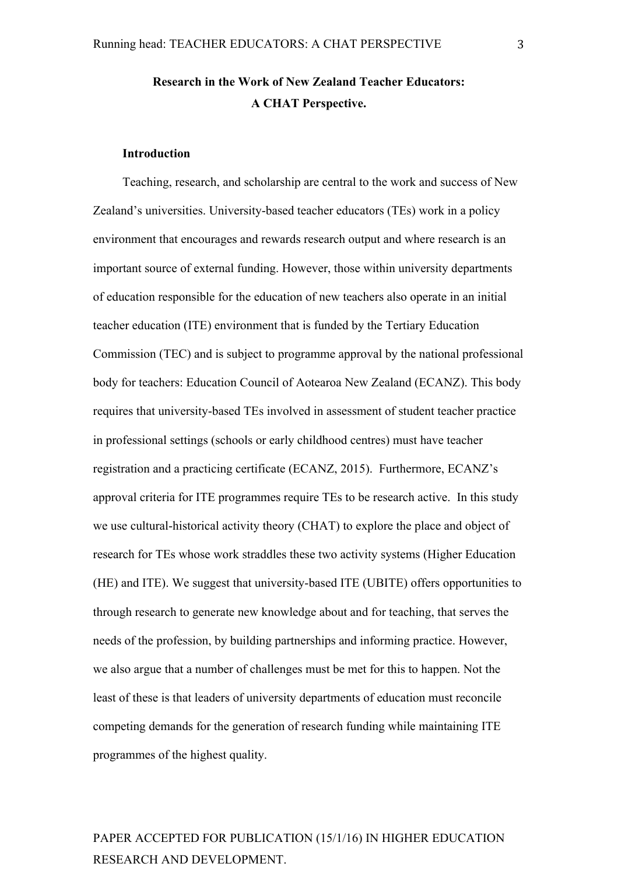### **Research in the Work of New Zealand Teacher Educators: A CHAT Perspective.**

### **Introduction**

Teaching, research, and scholarship are central to the work and success of New Zealand's universities. University-based teacher educators (TEs) work in a policy environment that encourages and rewards research output and where research is an important source of external funding. However, those within university departments of education responsible for the education of new teachers also operate in an initial teacher education (ITE) environment that is funded by the Tertiary Education Commission (TEC) and is subject to programme approval by the national professional body for teachers: Education Council of Aotearoa New Zealand (ECANZ). This body requires that university-based TEs involved in assessment of student teacher practice in professional settings (schools or early childhood centres) must have teacher registration and a practicing certificate (ECANZ, 2015). Furthermore, ECANZ's approval criteria for ITE programmes require TEs to be research active. In this study we use cultural-historical activity theory (CHAT) to explore the place and object of research for TEs whose work straddles these two activity systems (Higher Education (HE) and ITE). We suggest that university-based ITE (UBITE) offers opportunities to through research to generate new knowledge about and for teaching, that serves the needs of the profession, by building partnerships and informing practice. However, we also argue that a number of challenges must be met for this to happen. Not the least of these is that leaders of university departments of education must reconcile competing demands for the generation of research funding while maintaining ITE programmes of the highest quality.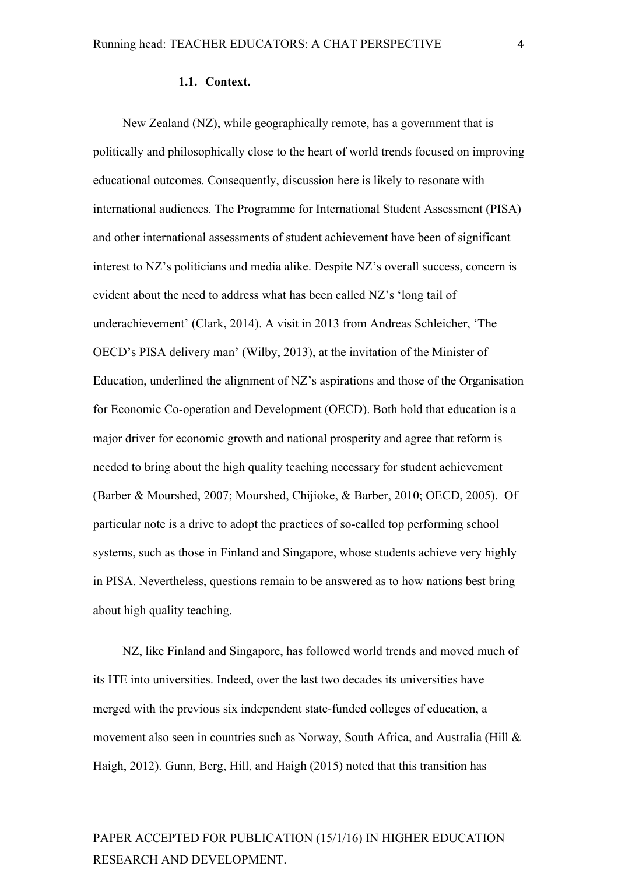New Zealand (NZ), while geographically remote, has a government that is politically and philosophically close to the heart of world trends focused on improving educational outcomes. Consequently, discussion here is likely to resonate with international audiences. The Programme for International Student Assessment (PISA) and other international assessments of student achievement have been of significant interest to NZ's politicians and media alike. Despite NZ's overall success, concern is evident about the need to address what has been called NZ's 'long tail of underachievement' (Clark, 2014). A visit in 2013 from Andreas Schleicher, 'The OECD's PISA delivery man' (Wilby, 2013), at the invitation of the Minister of Education, underlined the alignment of NZ's aspirations and those of the Organisation for Economic Co-operation and Development (OECD). Both hold that education is a major driver for economic growth and national prosperity and agree that reform is needed to bring about the high quality teaching necessary for student achievement (Barber & Mourshed, 2007; Mourshed, Chijioke, & Barber, 2010; OECD, 2005). Of particular note is a drive to adopt the practices of so-called top performing school systems, such as those in Finland and Singapore, whose students achieve very highly in PISA. Nevertheless, questions remain to be answered as to how nations best bring about high quality teaching.

NZ, like Finland and Singapore, has followed world trends and moved much of its ITE into universities. Indeed, over the last two decades its universities have merged with the previous six independent state-funded colleges of education, a movement also seen in countries such as Norway, South Africa, and Australia (Hill & Haigh, 2012). Gunn, Berg, Hill, and Haigh (2015) noted that this transition has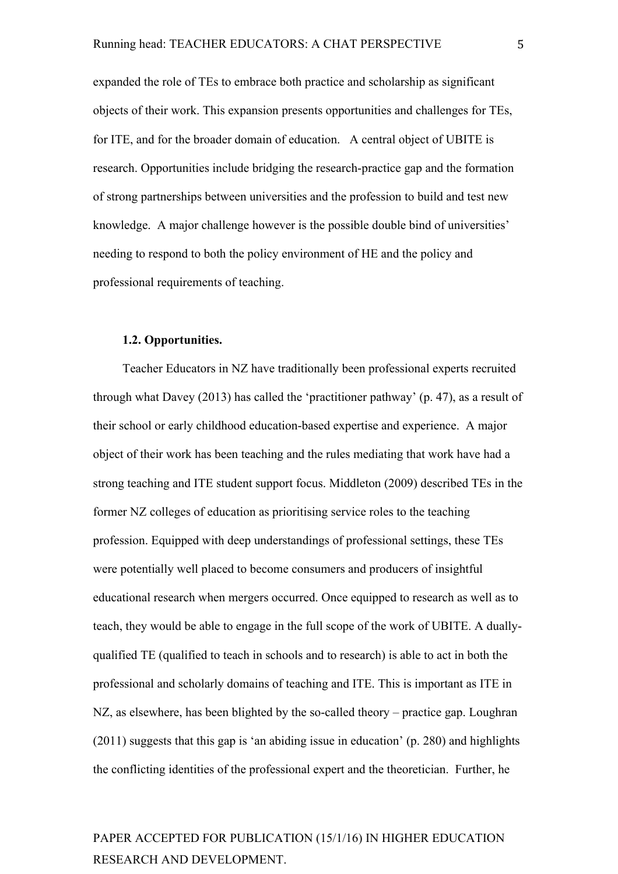expanded the role of TEs to embrace both practice and scholarship as significant objects of their work. This expansion presents opportunities and challenges for TEs, for ITE, and for the broader domain of education. A central object of UBITE is research. Opportunities include bridging the research-practice gap and the formation of strong partnerships between universities and the profession to build and test new knowledge. A major challenge however is the possible double bind of universities' needing to respond to both the policy environment of HE and the policy and professional requirements of teaching.

### **1.2. Opportunities.**

Teacher Educators in NZ have traditionally been professional experts recruited through what Davey (2013) has called the 'practitioner pathway' (p. 47), as a result of their school or early childhood education-based expertise and experience. A major object of their work has been teaching and the rules mediating that work have had a strong teaching and ITE student support focus. Middleton (2009) described TEs in the former NZ colleges of education as prioritising service roles to the teaching profession. Equipped with deep understandings of professional settings, these TEs were potentially well placed to become consumers and producers of insightful educational research when mergers occurred. Once equipped to research as well as to teach, they would be able to engage in the full scope of the work of UBITE. A duallyqualified TE (qualified to teach in schools and to research) is able to act in both the professional and scholarly domains of teaching and ITE. This is important as ITE in NZ, as elsewhere, has been blighted by the so-called theory – practice gap. Loughran (2011) suggests that this gap is 'an abiding issue in education' (p. 280) and highlights the conflicting identities of the professional expert and the theoretician. Further, he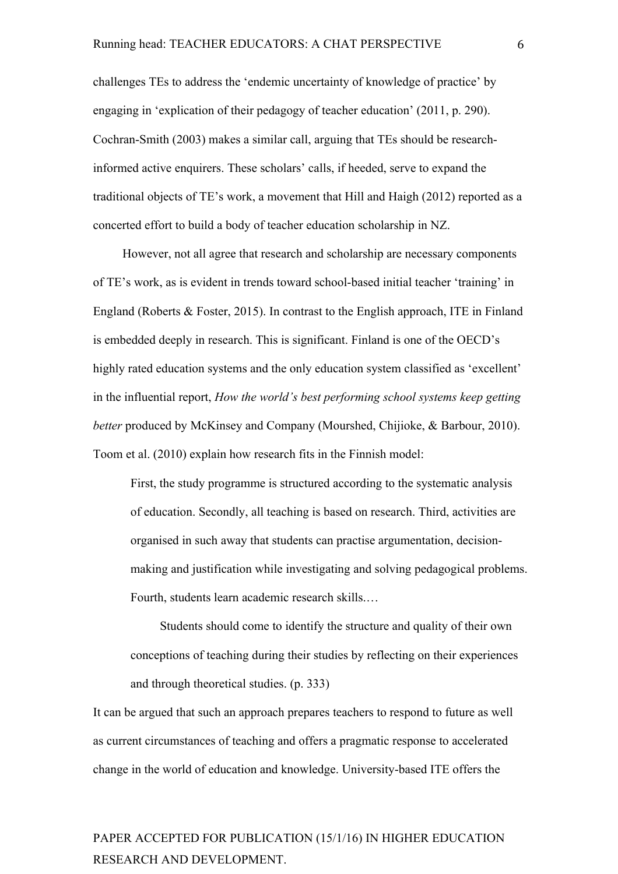challenges TEs to address the 'endemic uncertainty of knowledge of practice' by engaging in 'explication of their pedagogy of teacher education' (2011, p. 290). Cochran-Smith (2003) makes a similar call, arguing that TEs should be researchinformed active enquirers. These scholars' calls, if heeded, serve to expand the traditional objects of TE's work, a movement that Hill and Haigh (2012) reported as a concerted effort to build a body of teacher education scholarship in NZ.

However, not all agree that research and scholarship are necessary components of TE's work, as is evident in trends toward school-based initial teacher 'training' in England (Roberts & Foster, 2015). In contrast to the English approach, ITE in Finland is embedded deeply in research. This is significant. Finland is one of the OECD's highly rated education systems and the only education system classified as 'excellent' in the influential report, *How the world's best performing school systems keep getting better* produced by McKinsey and Company (Mourshed, Chijioke, & Barbour, 2010). Toom et al. (2010) explain how research fits in the Finnish model:

First, the study programme is structured according to the systematic analysis of education. Secondly, all teaching is based on research. Third, activities are organised in such away that students can practise argumentation, decisionmaking and justification while investigating and solving pedagogical problems. Fourth, students learn academic research skills.…

Students should come to identify the structure and quality of their own conceptions of teaching during their studies by reflecting on their experiences and through theoretical studies. (p. 333)

It can be argued that such an approach prepares teachers to respond to future as well as current circumstances of teaching and offers a pragmatic response to accelerated change in the world of education and knowledge. University-based ITE offers the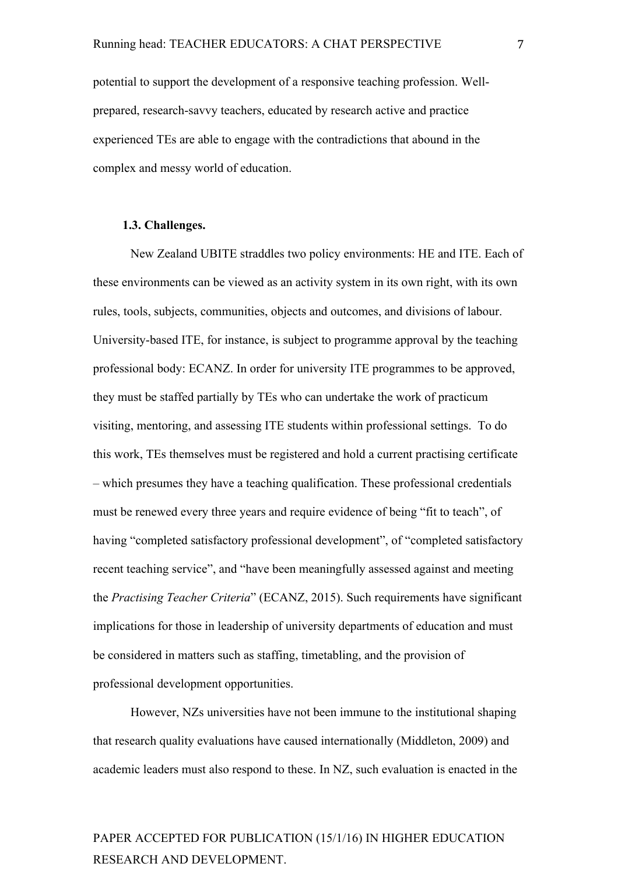potential to support the development of a responsive teaching profession. Wellprepared, research-savvy teachers, educated by research active and practice experienced TEs are able to engage with the contradictions that abound in the complex and messy world of education.

#### **1.3. Challenges.**

New Zealand UBITE straddles two policy environments: HE and ITE. Each of these environments can be viewed as an activity system in its own right, with its own rules, tools, subjects, communities, objects and outcomes, and divisions of labour. University-based ITE, for instance, is subject to programme approval by the teaching professional body: ECANZ. In order for university ITE programmes to be approved, they must be staffed partially by TEs who can undertake the work of practicum visiting, mentoring, and assessing ITE students within professional settings. To do this work, TEs themselves must be registered and hold a current practising certificate – which presumes they have a teaching qualification. These professional credentials must be renewed every three years and require evidence of being "fit to teach", of having "completed satisfactory professional development", of "completed satisfactory recent teaching service", and "have been meaningfully assessed against and meeting the *Practising Teacher Criteria*" (ECANZ, 2015). Such requirements have significant implications for those in leadership of university departments of education and must be considered in matters such as staffing, timetabling, and the provision of professional development opportunities.

However, NZs universities have not been immune to the institutional shaping that research quality evaluations have caused internationally (Middleton, 2009) and academic leaders must also respond to these. In NZ, such evaluation is enacted in the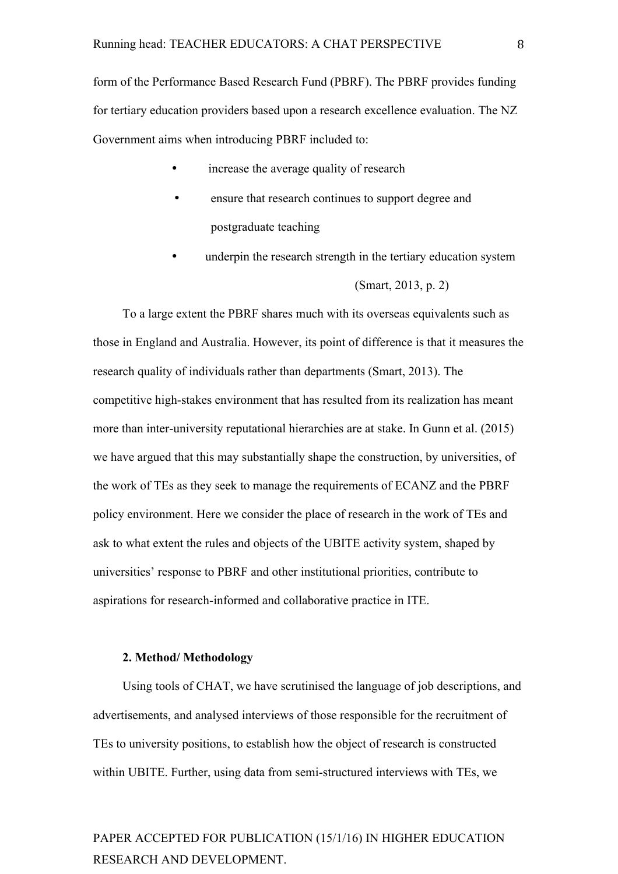form of the Performance Based Research Fund (PBRF). The PBRF provides funding for tertiary education providers based upon a research excellence evaluation. The NZ Government aims when introducing PBRF included to:

- increase the average quality of research
- ensure that research continues to support degree and postgraduate teaching
- underpin the research strength in the tertiary education system

### (Smart, 2013, p. 2)

To a large extent the PBRF shares much with its overseas equivalents such as those in England and Australia. However, its point of difference is that it measures the research quality of individuals rather than departments (Smart, 2013). The competitive high-stakes environment that has resulted from its realization has meant more than inter-university reputational hierarchies are at stake. In Gunn et al. (2015) we have argued that this may substantially shape the construction, by universities, of the work of TEs as they seek to manage the requirements of ECANZ and the PBRF policy environment. Here we consider the place of research in the work of TEs and ask to what extent the rules and objects of the UBITE activity system, shaped by universities' response to PBRF and other institutional priorities, contribute to aspirations for research-informed and collaborative practice in ITE.

#### **2. Method/ Methodology**

Using tools of CHAT, we have scrutinised the language of job descriptions, and advertisements, and analysed interviews of those responsible for the recruitment of TEs to university positions, to establish how the object of research is constructed within UBITE. Further, using data from semi-structured interviews with TEs, we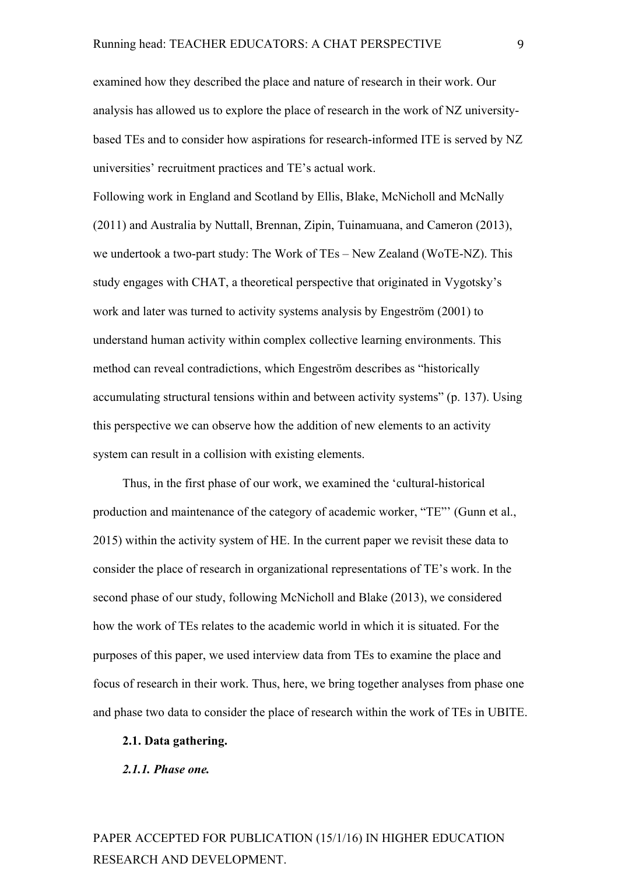examined how they described the place and nature of research in their work. Our analysis has allowed us to explore the place of research in the work of NZ universitybased TEs and to consider how aspirations for research-informed ITE is served by NZ universities' recruitment practices and TE's actual work.

Following work in England and Scotland by Ellis, Blake, McNicholl and McNally (2011) and Australia by Nuttall, Brennan, Zipin, Tuinamuana, and Cameron (2013), we undertook a two-part study: The Work of TEs – New Zealand (WoTE-NZ). This study engages with CHAT, a theoretical perspective that originated in Vygotsky's work and later was turned to activity systems analysis by Engeström (2001) to understand human activity within complex collective learning environments. This method can reveal contradictions, which Engeström describes as "historically accumulating structural tensions within and between activity systems" (p. 137). Using this perspective we can observe how the addition of new elements to an activity system can result in a collision with existing elements.

Thus, in the first phase of our work, we examined the 'cultural-historical production and maintenance of the category of academic worker, "TE"' (Gunn et al., 2015) within the activity system of HE. In the current paper we revisit these data to consider the place of research in organizational representations of TE's work. In the second phase of our study, following McNicholl and Blake (2013), we considered how the work of TEs relates to the academic world in which it is situated. For the purposes of this paper, we used interview data from TEs to examine the place and focus of research in their work. Thus, here, we bring together analyses from phase one and phase two data to consider the place of research within the work of TEs in UBITE.

#### **2.1. Data gathering.**

### *2.1.1. Phase one.*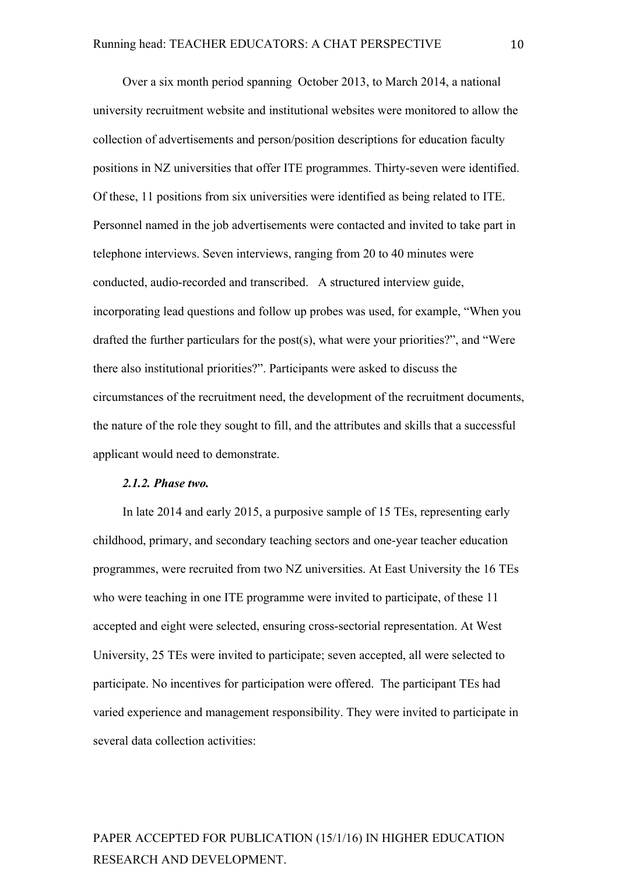Over a six month period spanning October 2013, to March 2014, a national university recruitment website and institutional websites were monitored to allow the collection of advertisements and person/position descriptions for education faculty positions in NZ universities that offer ITE programmes. Thirty-seven were identified. Of these, 11 positions from six universities were identified as being related to ITE. Personnel named in the job advertisements were contacted and invited to take part in telephone interviews. Seven interviews, ranging from 20 to 40 minutes were conducted, audio-recorded and transcribed. A structured interview guide, incorporating lead questions and follow up probes was used, for example, "When you drafted the further particulars for the post(s), what were your priorities?", and "Were there also institutional priorities?". Participants were asked to discuss the circumstances of the recruitment need, the development of the recruitment documents, the nature of the role they sought to fill, and the attributes and skills that a successful applicant would need to demonstrate.

#### *2.1.2. Phase two.*

In late 2014 and early 2015, a purposive sample of 15 TEs, representing early childhood, primary, and secondary teaching sectors and one-year teacher education programmes, were recruited from two NZ universities. At East University the 16 TEs who were teaching in one ITE programme were invited to participate, of these 11 accepted and eight were selected, ensuring cross-sectorial representation. At West University, 25 TEs were invited to participate; seven accepted, all were selected to participate. No incentives for participation were offered. The participant TEs had varied experience and management responsibility. They were invited to participate in several data collection activities: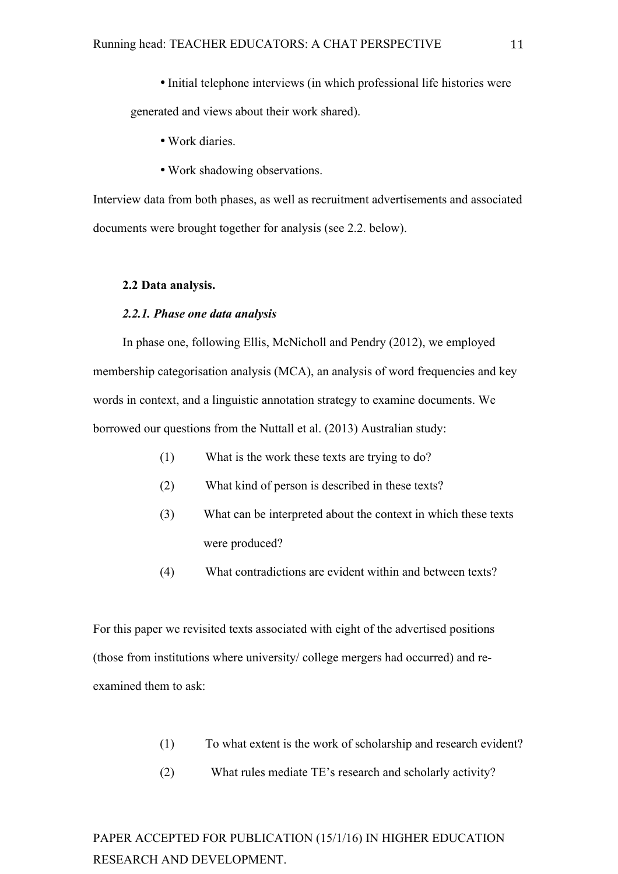- Initial telephone interviews (in which professional life histories were generated and views about their work shared).
	- Work diaries.
	- Work shadowing observations.

Interview data from both phases, as well as recruitment advertisements and associated documents were brought together for analysis (see 2.2. below).

#### **2.2 Data analysis.**

### *2.2.1. Phase one data analysis*

In phase one, following Ellis, McNicholl and Pendry (2012), we employed membership categorisation analysis (MCA), an analysis of word frequencies and key words in context, and a linguistic annotation strategy to examine documents. We borrowed our questions from the Nuttall et al. (2013) Australian study:

- (1) What is the work these texts are trying to do?
- (2) What kind of person is described in these texts?
- (3) What can be interpreted about the context in which these texts were produced?
- (4) What contradictions are evident within and between texts?

For this paper we revisited texts associated with eight of the advertised positions (those from institutions where university/ college mergers had occurred) and reexamined them to ask:

- (1) To what extent is the work of scholarship and research evident?
- (2) What rules mediate TE's research and scholarly activity?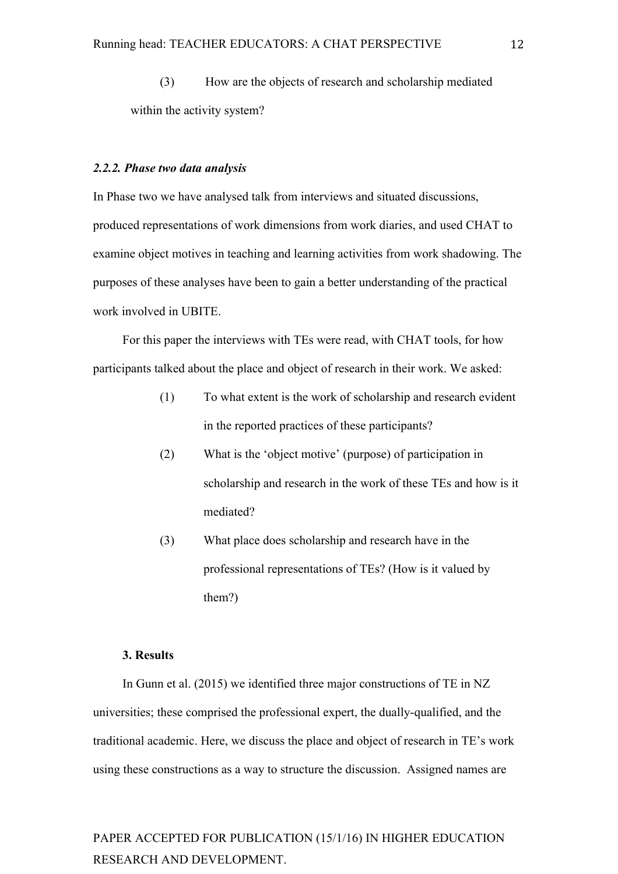(3) How are the objects of research and scholarship mediated within the activity system?

#### *2.2.2. Phase two data analysis*

In Phase two we have analysed talk from interviews and situated discussions, produced representations of work dimensions from work diaries, and used CHAT to examine object motives in teaching and learning activities from work shadowing. The purposes of these analyses have been to gain a better understanding of the practical work involved in UBITE.

For this paper the interviews with TEs were read, with CHAT tools, for how participants talked about the place and object of research in their work. We asked:

- (1) To what extent is the work of scholarship and research evident in the reported practices of these participants?
- (2) What is the 'object motive' (purpose) of participation in scholarship and research in the work of these TEs and how is it mediated?
- (3) What place does scholarship and research have in the professional representations of TEs? (How is it valued by them?)

### **3. Results**

In Gunn et al. (2015) we identified three major constructions of TE in NZ universities; these comprised the professional expert, the dually-qualified, and the traditional academic. Here, we discuss the place and object of research in TE's work using these constructions as a way to structure the discussion. Assigned names are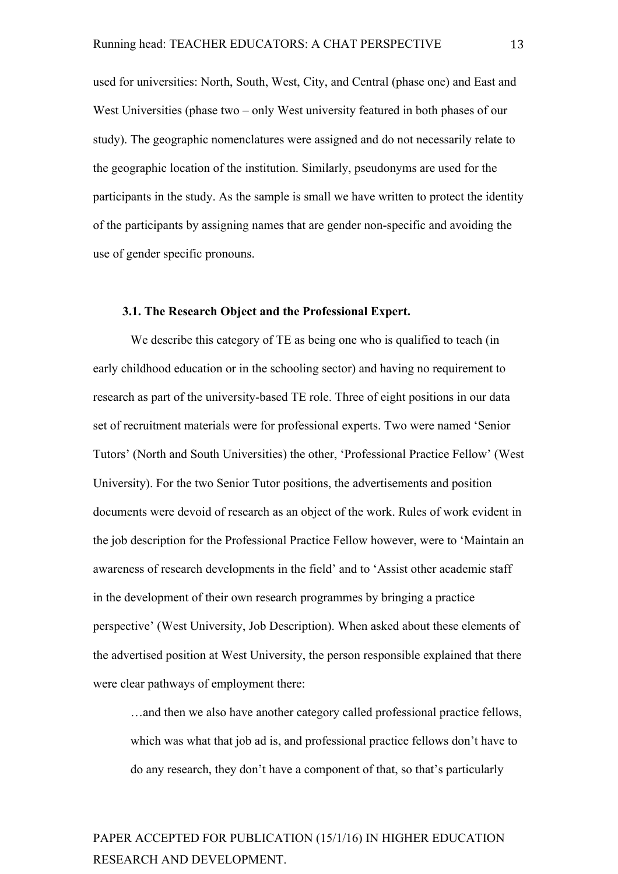used for universities: North, South, West, City, and Central (phase one) and East and West Universities (phase two – only West university featured in both phases of our study). The geographic nomenclatures were assigned and do not necessarily relate to the geographic location of the institution. Similarly, pseudonyms are used for the participants in the study. As the sample is small we have written to protect the identity of the participants by assigning names that are gender non-specific and avoiding the use of gender specific pronouns.

#### **3.1. The Research Object and the Professional Expert.**

We describe this category of TE as being one who is qualified to teach (in early childhood education or in the schooling sector) and having no requirement to research as part of the university-based TE role. Three of eight positions in our data set of recruitment materials were for professional experts. Two were named 'Senior Tutors' (North and South Universities) the other, 'Professional Practice Fellow' (West University). For the two Senior Tutor positions, the advertisements and position documents were devoid of research as an object of the work. Rules of work evident in the job description for the Professional Practice Fellow however, were to 'Maintain an awareness of research developments in the field' and to 'Assist other academic staff in the development of their own research programmes by bringing a practice perspective' (West University, Job Description). When asked about these elements of the advertised position at West University, the person responsible explained that there were clear pathways of employment there:

…and then we also have another category called professional practice fellows, which was what that job ad is, and professional practice fellows don't have to do any research, they don't have a component of that, so that's particularly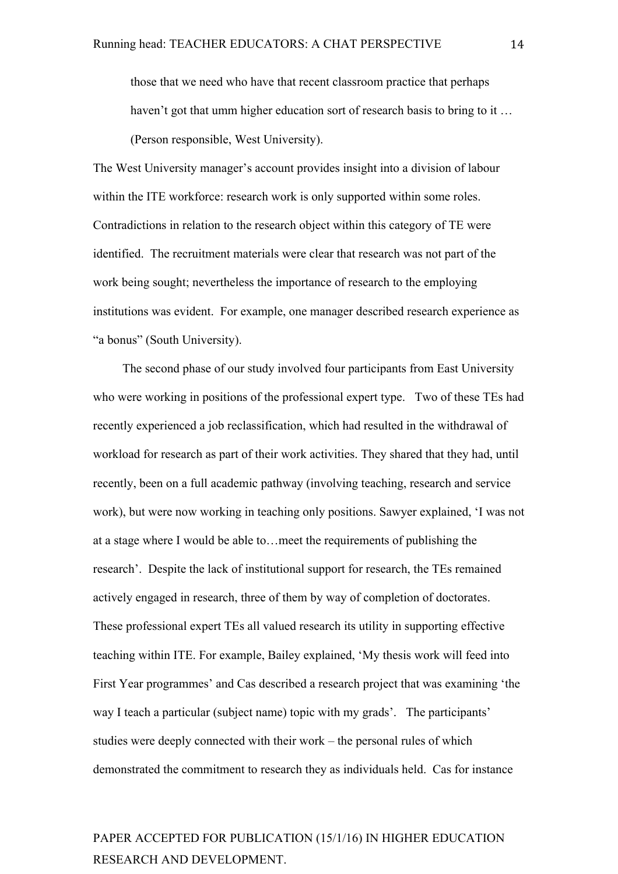those that we need who have that recent classroom practice that perhaps haven't got that umm higher education sort of research basis to bring to it ... (Person responsible, West University).

The West University manager's account provides insight into a division of labour within the ITE workforce: research work is only supported within some roles. Contradictions in relation to the research object within this category of TE were identified. The recruitment materials were clear that research was not part of the work being sought; nevertheless the importance of research to the employing institutions was evident. For example, one manager described research experience as "a bonus" (South University).

The second phase of our study involved four participants from East University who were working in positions of the professional expert type. Two of these TEs had recently experienced a job reclassification, which had resulted in the withdrawal of workload for research as part of their work activities. They shared that they had, until recently, been on a full academic pathway (involving teaching, research and service work), but were now working in teaching only positions. Sawyer explained, 'I was not at a stage where I would be able to…meet the requirements of publishing the research'. Despite the lack of institutional support for research, the TEs remained actively engaged in research, three of them by way of completion of doctorates. These professional expert TEs all valued research its utility in supporting effective teaching within ITE. For example, Bailey explained, 'My thesis work will feed into First Year programmes' and Cas described a research project that was examining 'the way I teach a particular (subject name) topic with my grads'. The participants' studies were deeply connected with their work – the personal rules of which demonstrated the commitment to research they as individuals held. Cas for instance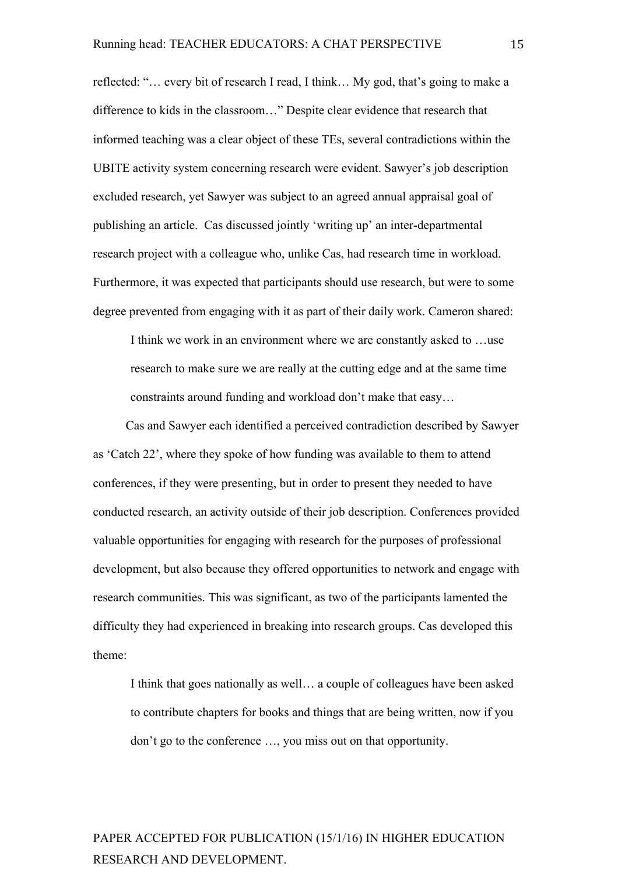reflected: "… every bit of research I read, I think… My god, that's going to make a difference to kids in the classroom…" Despite clear evidence that research that informed teaching was a clear object of these TEs, several contradictions within the UBITE activity system concerning research were evident. Sawyer's job description excluded research, yet Sawyer was subject to an agreed annual appraisal goal of publishing an article. Cas discussed jointly 'writing up' an inter-departmental research project with a colleague who, unlike Cas, had research time in workload. Furthermore, it was expected that participants should use research, but were to some degree prevented from engaging with it as part of their daily work. Cameron shared:

I think we work in an environment where we are constantly asked to …use research to make sure we are really at the cutting edge and at the same time constraints around funding and workload don't make that easy…

Cas and Sawyer each identified a perceived contradiction described by Sawyer as 'Catch 22', where they spoke of how funding was available to them to attend conferences, if they were presenting, but in order to present they needed to have conducted research, an activity outside of their job description. Conferences provided valuable opportunities for engaging with research for the purposes of professional development, but also because they offered opportunities to network and engage with research communities. This was significant, as two of the participants lamented the difficulty they had experienced in breaking into research groups. Cas developed this theme:

I think that goes nationally as well… a couple of colleagues have been asked to contribute chapters for books and things that are being written, now if you don't go to the conference …, you miss out on that opportunity.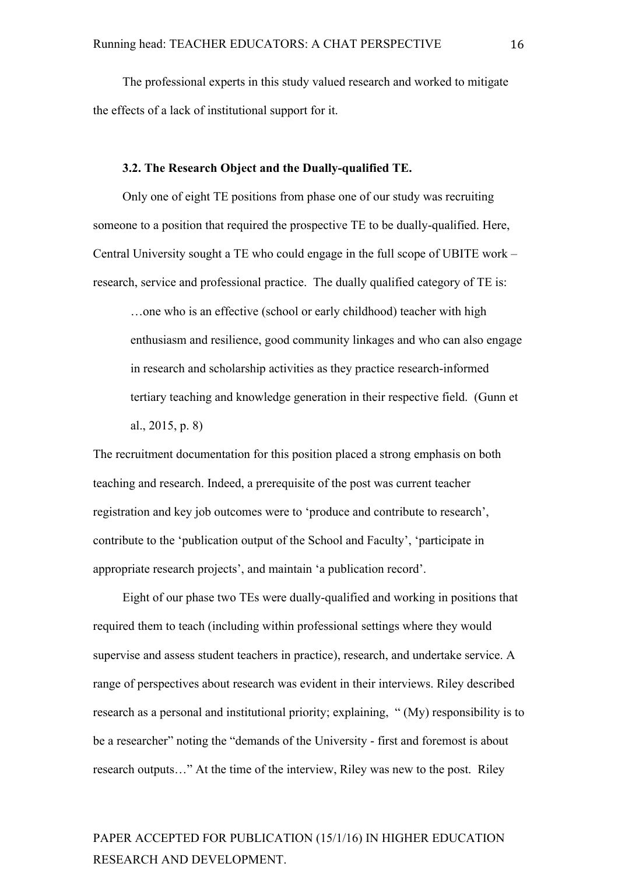The professional experts in this study valued research and worked to mitigate the effects of a lack of institutional support for it.

#### **3.2. The Research Object and the Dually-qualified TE.**

Only one of eight TE positions from phase one of our study was recruiting someone to a position that required the prospective TE to be dually-qualified. Here, Central University sought a TE who could engage in the full scope of UBITE work – research, service and professional practice. The dually qualified category of TE is:

…one who is an effective (school or early childhood) teacher with high enthusiasm and resilience, good community linkages and who can also engage in research and scholarship activities as they practice research-informed tertiary teaching and knowledge generation in their respective field. (Gunn et al., 2015, p. 8)

The recruitment documentation for this position placed a strong emphasis on both teaching and research. Indeed, a prerequisite of the post was current teacher registration and key job outcomes were to 'produce and contribute to research', contribute to the 'publication output of the School and Faculty', 'participate in appropriate research projects', and maintain 'a publication record'.

Eight of our phase two TEs were dually-qualified and working in positions that required them to teach (including within professional settings where they would supervise and assess student teachers in practice), research, and undertake service. A range of perspectives about research was evident in their interviews. Riley described research as a personal and institutional priority; explaining, " (My) responsibility is to be a researcher" noting the "demands of the University - first and foremost is about research outputs…" At the time of the interview, Riley was new to the post. Riley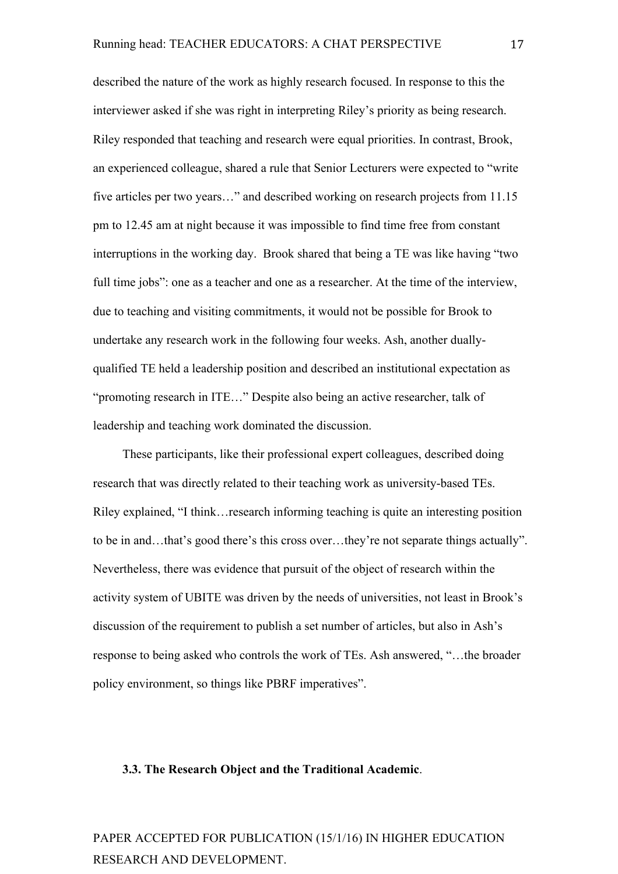described the nature of the work as highly research focused. In response to this the interviewer asked if she was right in interpreting Riley's priority as being research. Riley responded that teaching and research were equal priorities. In contrast, Brook, an experienced colleague, shared a rule that Senior Lecturers were expected to "write five articles per two years…" and described working on research projects from 11.15 pm to 12.45 am at night because it was impossible to find time free from constant interruptions in the working day. Brook shared that being a TE was like having "two full time jobs": one as a teacher and one as a researcher. At the time of the interview, due to teaching and visiting commitments, it would not be possible for Brook to undertake any research work in the following four weeks. Ash, another duallyqualified TE held a leadership position and described an institutional expectation as "promoting research in ITE…" Despite also being an active researcher, talk of leadership and teaching work dominated the discussion.

These participants, like their professional expert colleagues, described doing research that was directly related to their teaching work as university-based TEs. Riley explained, "I think…research informing teaching is quite an interesting position to be in and…that's good there's this cross over…they're not separate things actually". Nevertheless, there was evidence that pursuit of the object of research within the activity system of UBITE was driven by the needs of universities, not least in Brook's discussion of the requirement to publish a set number of articles, but also in Ash's response to being asked who controls the work of TEs. Ash answered, "…the broader policy environment, so things like PBRF imperatives".

#### **3.3. The Research Object and the Traditional Academic**.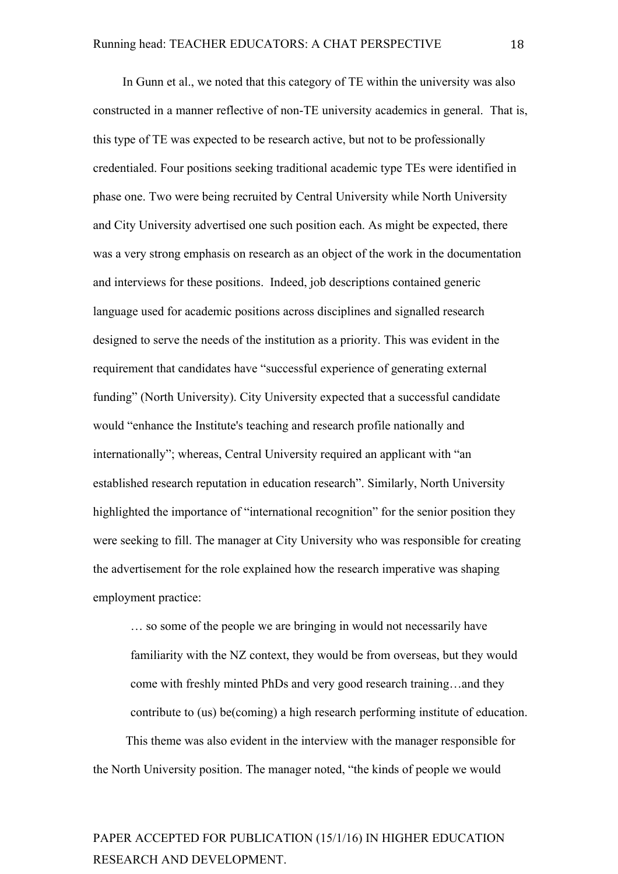In Gunn et al., we noted that this category of TE within the university was also constructed in a manner reflective of non-TE university academics in general. That is, this type of TE was expected to be research active, but not to be professionally credentialed. Four positions seeking traditional academic type TEs were identified in phase one. Two were being recruited by Central University while North University and City University advertised one such position each. As might be expected, there was a very strong emphasis on research as an object of the work in the documentation and interviews for these positions. Indeed, job descriptions contained generic language used for academic positions across disciplines and signalled research designed to serve the needs of the institution as a priority. This was evident in the requirement that candidates have "successful experience of generating external funding" (North University). City University expected that a successful candidate would "enhance the Institute's teaching and research profile nationally and internationally"; whereas, Central University required an applicant with "an established research reputation in education research". Similarly, North University highlighted the importance of "international recognition" for the senior position they were seeking to fill. The manager at City University who was responsible for creating the advertisement for the role explained how the research imperative was shaping employment practice:

… so some of the people we are bringing in would not necessarily have familiarity with the NZ context, they would be from overseas, but they would come with freshly minted PhDs and very good research training…and they contribute to (us) be(coming) a high research performing institute of education.

This theme was also evident in the interview with the manager responsible for the North University position. The manager noted, "the kinds of people we would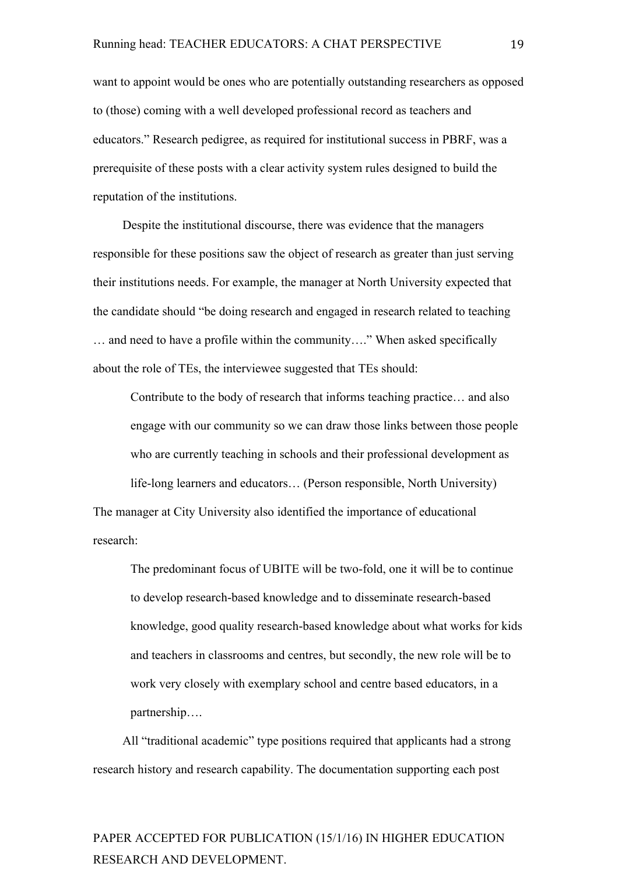want to appoint would be ones who are potentially outstanding researchers as opposed to (those) coming with a well developed professional record as teachers and educators." Research pedigree, as required for institutional success in PBRF, was a prerequisite of these posts with a clear activity system rules designed to build the reputation of the institutions.

Despite the institutional discourse, there was evidence that the managers responsible for these positions saw the object of research as greater than just serving their institutions needs. For example, the manager at North University expected that the candidate should "be doing research and engaged in research related to teaching … and need to have a profile within the community…." When asked specifically about the role of TEs, the interviewee suggested that TEs should:

Contribute to the body of research that informs teaching practice… and also engage with our community so we can draw those links between those people who are currently teaching in schools and their professional development as life-long learners and educators… (Person responsible, North University) The manager at City University also identified the importance of educational

research:

The predominant focus of UBITE will be two-fold, one it will be to continue to develop research-based knowledge and to disseminate research-based knowledge, good quality research-based knowledge about what works for kids and teachers in classrooms and centres, but secondly, the new role will be to work very closely with exemplary school and centre based educators, in a partnership….

All "traditional academic" type positions required that applicants had a strong research history and research capability. The documentation supporting each post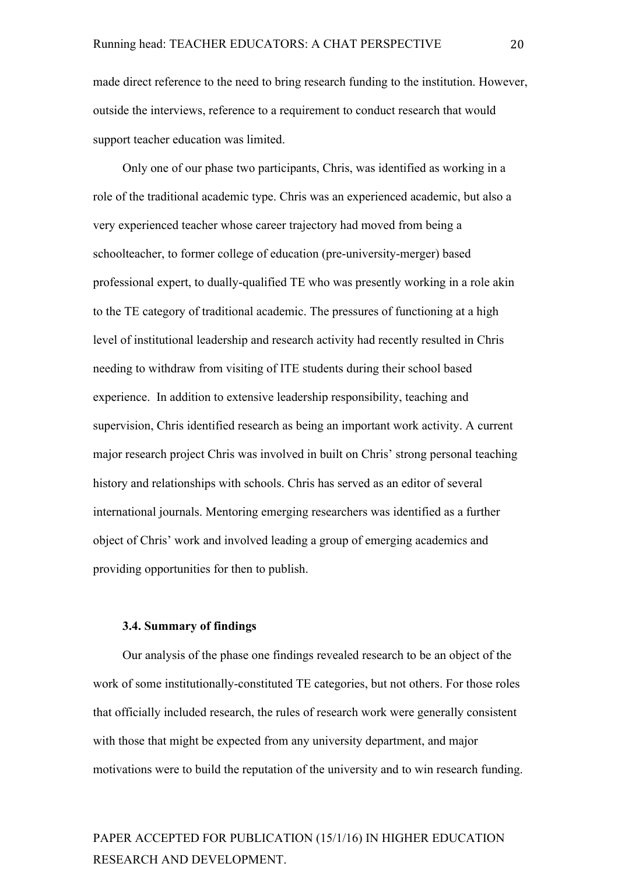made direct reference to the need to bring research funding to the institution. However, outside the interviews, reference to a requirement to conduct research that would support teacher education was limited.

Only one of our phase two participants, Chris, was identified as working in a role of the traditional academic type. Chris was an experienced academic, but also a very experienced teacher whose career trajectory had moved from being a schoolteacher, to former college of education (pre-university-merger) based professional expert, to dually-qualified TE who was presently working in a role akin to the TE category of traditional academic. The pressures of functioning at a high level of institutional leadership and research activity had recently resulted in Chris needing to withdraw from visiting of ITE students during their school based experience. In addition to extensive leadership responsibility, teaching and supervision, Chris identified research as being an important work activity. A current major research project Chris was involved in built on Chris' strong personal teaching history and relationships with schools. Chris has served as an editor of several international journals. Mentoring emerging researchers was identified as a further object of Chris' work and involved leading a group of emerging academics and providing opportunities for then to publish.

#### **3.4. Summary of findings**

Our analysis of the phase one findings revealed research to be an object of the work of some institutionally-constituted TE categories, but not others. For those roles that officially included research, the rules of research work were generally consistent with those that might be expected from any university department, and major motivations were to build the reputation of the university and to win research funding.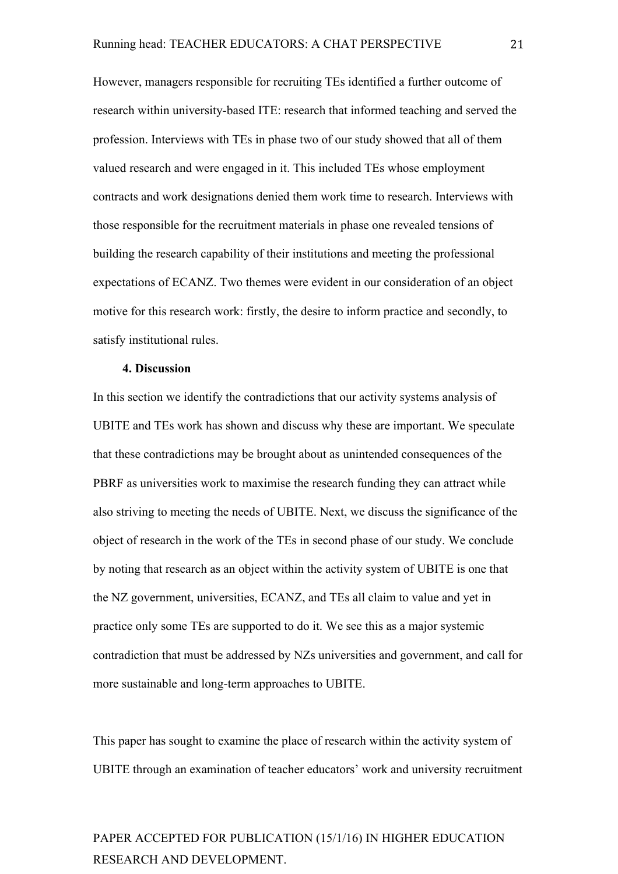However, managers responsible for recruiting TEs identified a further outcome of research within university-based ITE: research that informed teaching and served the profession. Interviews with TEs in phase two of our study showed that all of them valued research and were engaged in it. This included TEs whose employment contracts and work designations denied them work time to research. Interviews with those responsible for the recruitment materials in phase one revealed tensions of building the research capability of their institutions and meeting the professional expectations of ECANZ. Two themes were evident in our consideration of an object motive for this research work: firstly, the desire to inform practice and secondly, to satisfy institutional rules.

### **4. Discussion**

In this section we identify the contradictions that our activity systems analysis of UBITE and TEs work has shown and discuss why these are important. We speculate that these contradictions may be brought about as unintended consequences of the PBRF as universities work to maximise the research funding they can attract while also striving to meeting the needs of UBITE. Next, we discuss the significance of the object of research in the work of the TEs in second phase of our study. We conclude by noting that research as an object within the activity system of UBITE is one that the NZ government, universities, ECANZ, and TEs all claim to value and yet in practice only some TEs are supported to do it. We see this as a major systemic contradiction that must be addressed by NZs universities and government, and call for more sustainable and long-term approaches to UBITE.

This paper has sought to examine the place of research within the activity system of UBITE through an examination of teacher educators' work and university recruitment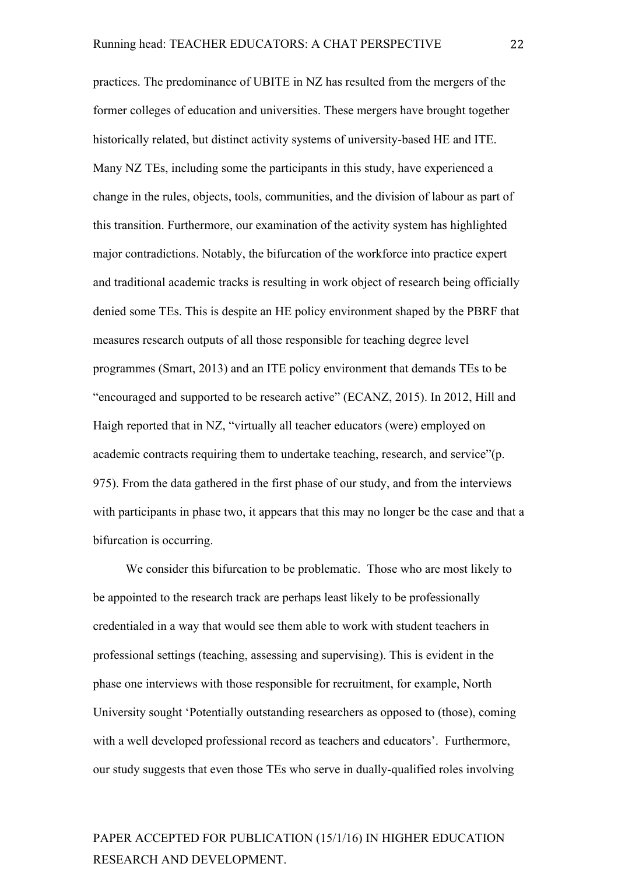practices. The predominance of UBITE in NZ has resulted from the mergers of the former colleges of education and universities. These mergers have brought together historically related, but distinct activity systems of university-based HE and ITE. Many NZ TEs, including some the participants in this study, have experienced a change in the rules, objects, tools, communities, and the division of labour as part of this transition. Furthermore, our examination of the activity system has highlighted major contradictions. Notably, the bifurcation of the workforce into practice expert and traditional academic tracks is resulting in work object of research being officially denied some TEs. This is despite an HE policy environment shaped by the PBRF that measures research outputs of all those responsible for teaching degree level programmes (Smart, 2013) and an ITE policy environment that demands TEs to be "encouraged and supported to be research active" (ECANZ, 2015). In 2012, Hill and Haigh reported that in NZ, "virtually all teacher educators (were) employed on academic contracts requiring them to undertake teaching, research, and service"(p. 975). From the data gathered in the first phase of our study, and from the interviews with participants in phase two, it appears that this may no longer be the case and that a bifurcation is occurring.

We consider this bifurcation to be problematic. Those who are most likely to be appointed to the research track are perhaps least likely to be professionally credentialed in a way that would see them able to work with student teachers in professional settings (teaching, assessing and supervising). This is evident in the phase one interviews with those responsible for recruitment, for example, North University sought 'Potentially outstanding researchers as opposed to (those), coming with a well developed professional record as teachers and educators'. Furthermore, our study suggests that even those TEs who serve in dually-qualified roles involving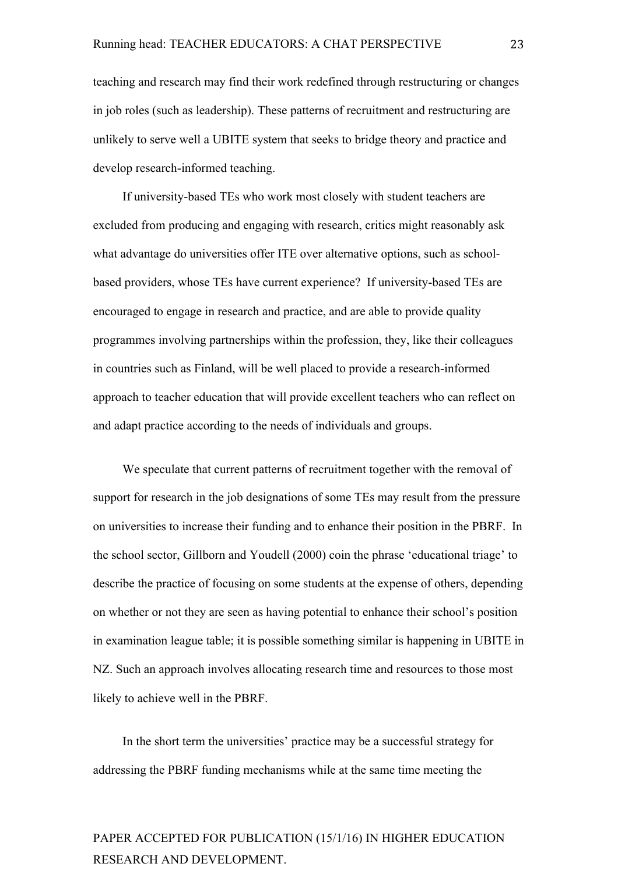teaching and research may find their work redefined through restructuring or changes in job roles (such as leadership). These patterns of recruitment and restructuring are unlikely to serve well a UBITE system that seeks to bridge theory and practice and develop research-informed teaching.

If university-based TEs who work most closely with student teachers are excluded from producing and engaging with research, critics might reasonably ask what advantage do universities offer ITE over alternative options, such as schoolbased providers, whose TEs have current experience? If university-based TEs are encouraged to engage in research and practice, and are able to provide quality programmes involving partnerships within the profession, they, like their colleagues in countries such as Finland, will be well placed to provide a research-informed approach to teacher education that will provide excellent teachers who can reflect on and adapt practice according to the needs of individuals and groups.

We speculate that current patterns of recruitment together with the removal of support for research in the job designations of some TEs may result from the pressure on universities to increase their funding and to enhance their position in the PBRF. In the school sector, Gillborn and Youdell (2000) coin the phrase 'educational triage' to describe the practice of focusing on some students at the expense of others, depending on whether or not they are seen as having potential to enhance their school's position in examination league table; it is possible something similar is happening in UBITE in NZ. Such an approach involves allocating research time and resources to those most likely to achieve well in the PBRF.

In the short term the universities' practice may be a successful strategy for addressing the PBRF funding mechanisms while at the same time meeting the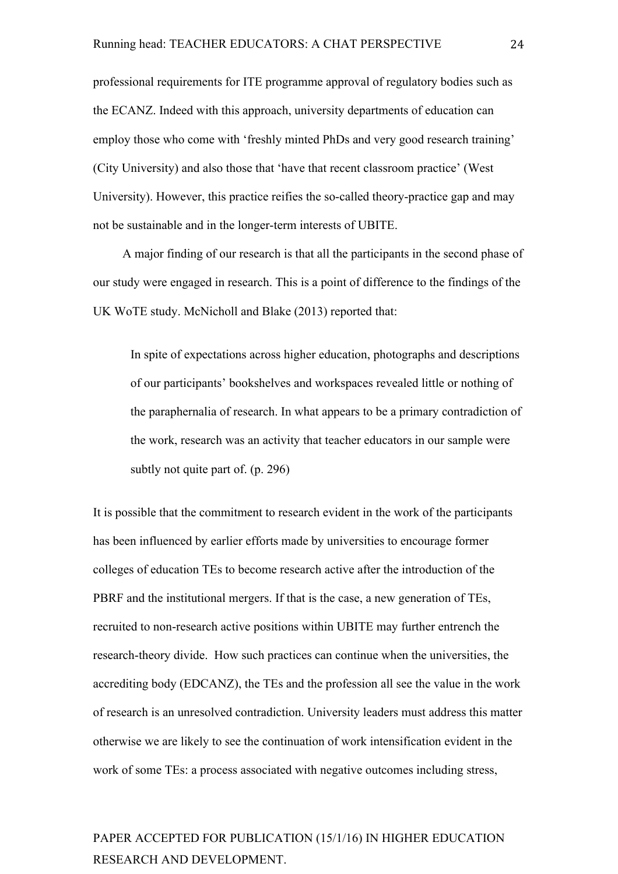professional requirements for ITE programme approval of regulatory bodies such as the ECANZ. Indeed with this approach, university departments of education can employ those who come with 'freshly minted PhDs and very good research training' (City University) and also those that 'have that recent classroom practice' (West University). However, this practice reifies the so-called theory-practice gap and may not be sustainable and in the longer-term interests of UBITE.

A major finding of our research is that all the participants in the second phase of our study were engaged in research. This is a point of difference to the findings of the UK WoTE study. McNicholl and Blake (2013) reported that:

In spite of expectations across higher education, photographs and descriptions of our participants' bookshelves and workspaces revealed little or nothing of the paraphernalia of research. In what appears to be a primary contradiction of the work, research was an activity that teacher educators in our sample were subtly not quite part of. (p. 296)

It is possible that the commitment to research evident in the work of the participants has been influenced by earlier efforts made by universities to encourage former colleges of education TEs to become research active after the introduction of the PBRF and the institutional mergers. If that is the case, a new generation of TEs, recruited to non-research active positions within UBITE may further entrench the research-theory divide. How such practices can continue when the universities, the accrediting body (EDCANZ), the TEs and the profession all see the value in the work of research is an unresolved contradiction. University leaders must address this matter otherwise we are likely to see the continuation of work intensification evident in the work of some TEs: a process associated with negative outcomes including stress,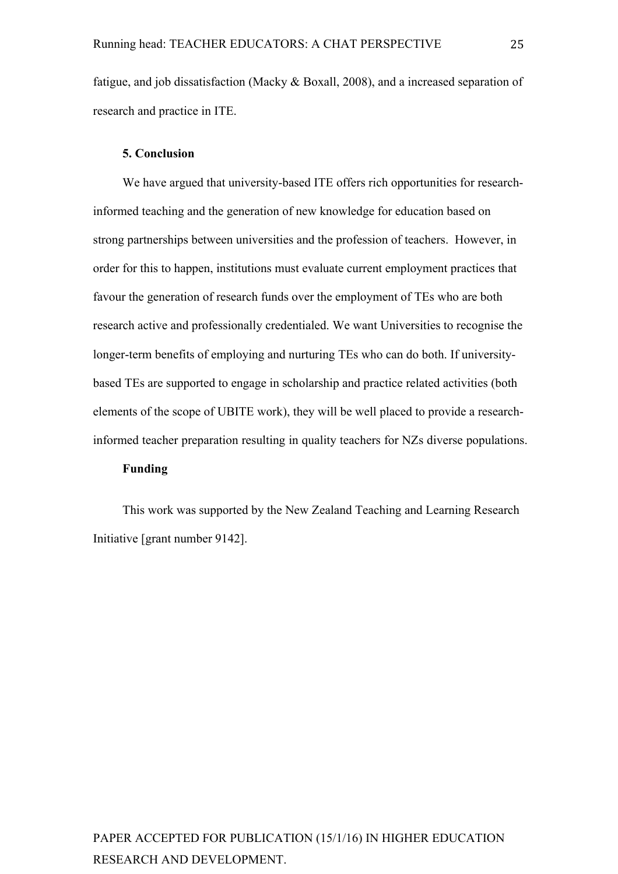fatigue, and job dissatisfaction (Macky & Boxall, 2008), and a increased separation of research and practice in ITE.

### **5. Conclusion**

We have argued that university-based ITE offers rich opportunities for researchinformed teaching and the generation of new knowledge for education based on strong partnerships between universities and the profession of teachers. However, in order for this to happen, institutions must evaluate current employment practices that favour the generation of research funds over the employment of TEs who are both research active and professionally credentialed. We want Universities to recognise the longer-term benefits of employing and nurturing TEs who can do both. If universitybased TEs are supported to engage in scholarship and practice related activities (both elements of the scope of UBITE work), they will be well placed to provide a researchinformed teacher preparation resulting in quality teachers for NZs diverse populations.

#### **Funding**

This work was supported by the New Zealand Teaching and Learning Research Initiative [grant number 9142].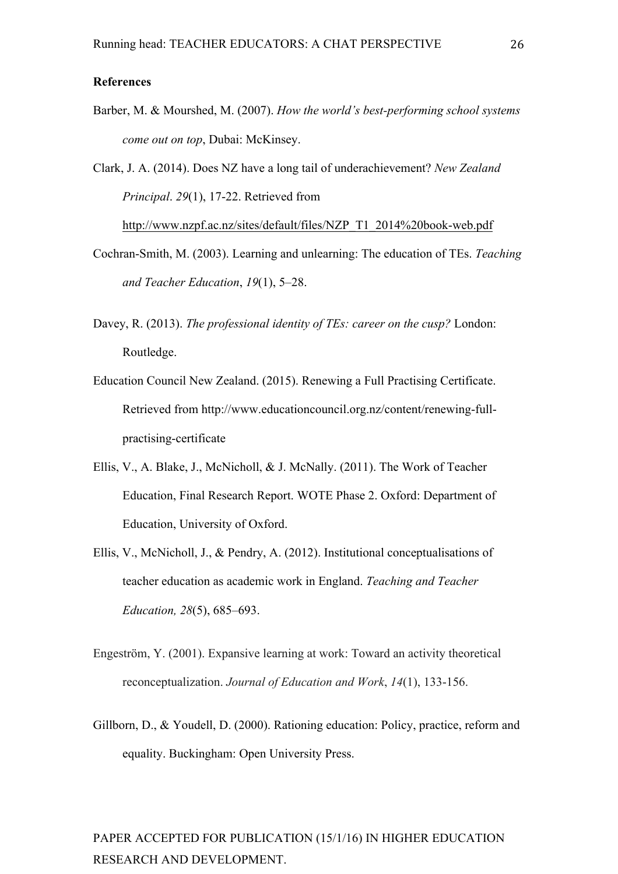#### **References**

Barber, M. & Mourshed, M. (2007). *How the world's best-performing school systems come out on top*, Dubai: McKinsey.

Clark, J. A. (2014). Does NZ have a long tail of underachievement? *New Zealand Principal*. *29*(1), 17-22. Retrieved from

http://www.nzpf.ac.nz/sites/default/files/NZP\_T1\_2014%20book-web.pdf

- Cochran-Smith, M. (2003). Learning and unlearning: The education of TEs. *Teaching and Teacher Education*, *19*(1), 5–28.
- Davey, R. (2013). *The professional identity of TEs: career on the cusp?* London: Routledge.
- Education Council New Zealand. (2015). Renewing a Full Practising Certificate. Retrieved from http://www.educationcouncil.org.nz/content/renewing-fullpractising-certificate
- Ellis, V., A. Blake, J., McNicholl, & J. McNally. (2011). The Work of Teacher Education, Final Research Report. WOTE Phase 2. Oxford: Department of Education, University of Oxford.
- Ellis, V., McNicholl, J., & Pendry, A. (2012). Institutional conceptualisations of teacher education as academic work in England. *Teaching and Teacher Education, 28*(5), 685–693.
- Engeström, Y. (2001). Expansive learning at work: Toward an activity theoretical reconceptualization. *Journal of Education and Work*, *14*(1), 133-156.
- Gillborn, D., & Youdell, D. (2000). Rationing education: Policy, practice, reform and equality. Buckingham: Open University Press.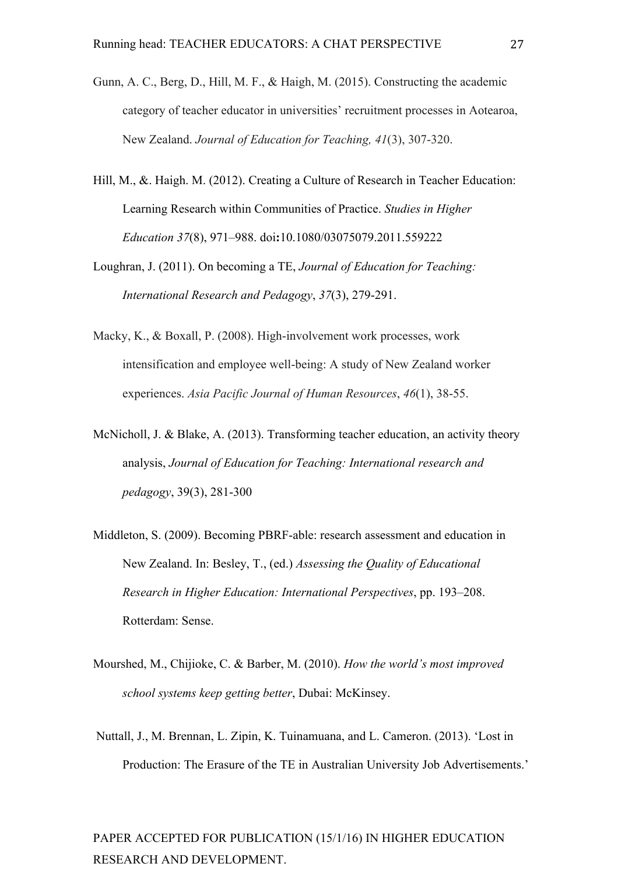- Gunn, A. C., Berg, D., Hill, M. F., & Haigh, M. (2015). Constructing the academic category of teacher educator in universities' recruitment processes in Aotearoa, New Zealand. *Journal of Education for Teaching, 41*(3), 307-320.
- Hill, M., &. Haigh. M. (2012). Creating a Culture of Research in Teacher Education: Learning Research within Communities of Practice. *Studies in Higher Education 37*(8), 971–988. doi**:**10.1080/03075079.2011.559222

Loughran, J. (2011). On becoming a TE, *Journal of Education for Teaching: International Research and Pedagogy*, *37*(3), 279-291.

- Macky, K., & Boxall, P. (2008). High-involvement work processes, work intensification and employee well-being: A study of New Zealand worker experiences. *Asia Pacific Journal of Human Resources*, *46*(1), 38-55.
- McNicholl, J. & Blake, A. (2013). Transforming teacher education, an activity theory analysis, *Journal of Education for Teaching: International research and pedagogy*, 39(3), 281-300
- Middleton, S. (2009). Becoming PBRF-able: research assessment and education in New Zealand. In: Besley, T., (ed.) *Assessing the Quality of Educational Research in Higher Education: International Perspectives*, pp. 193–208. Rotterdam: Sense.
- Mourshed, M., Chijioke, C. & Barber, M. (2010). *How the world's most improved school systems keep getting better*, Dubai: McKinsey.
- Nuttall, J., M. Brennan, L. Zipin, K. Tuinamuana, and L. Cameron. (2013). 'Lost in Production: The Erasure of the TE in Australian University Job Advertisements.'